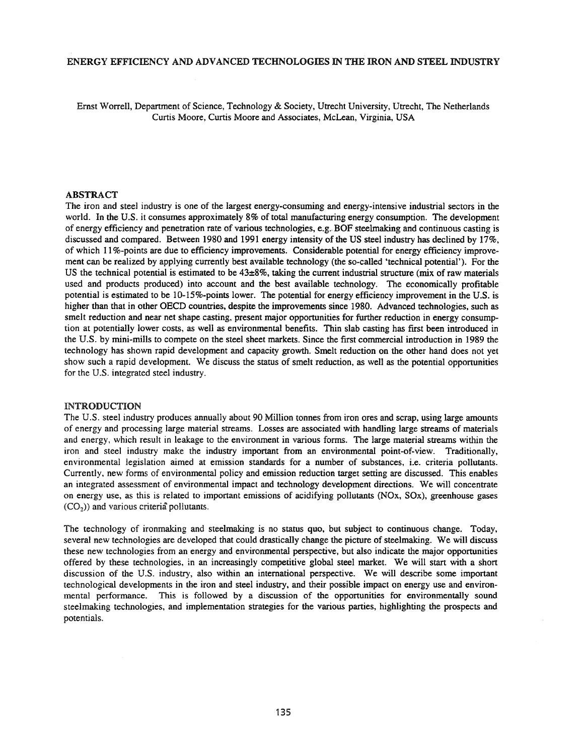# ENERGY EFFICIENCY AND ADVANCED TECHNOLOGIES IN THE IRON AND STEEL INDUSTRY

Ernst Worrell, Department of Science, Technology & Society, Utrecht University, Utrecht, The Netherlands Curtis Moore, Curtis Moore and Associates, McLean, Virginia, USA

# ABSTRACT

The iron and steel industry is one of the largest energy-consuming and energy-intensive industrial sectors in the world. In the U.S. it consumes approximately 8% of total manufacturing energy consumption. The development of energy efficiency and penetration rate of various technologies, e.g. BOF steelmaking and continuous casting is discussed and compared. Between 1980 and 1991 energy intensity of the US steel industry has declined by 17%, of which 11 %-points are due to efficiency improvements. Considerable potential for energy efficiency improvement can be realized by applying currently best available technology (the so-called 'technical potential'). For the US the technical potential is estimated to be  $43\pm8\%$ , taking the current industrial structure (mix of raw materials used and products produced) into account and the best available technology. The economically profitable potential is estimated to be 1O-15%-points lower. The potential for energy efficiency improvement in the U.S. is higher than that in other DECO countries, despite the improvements since 1980. Advanced technologies, such as smelt reduction and near net shape casting, present major opportunities for further reduction in energy consumption at potentially lower costs, as well as environmental benefits. Thin slab casting has first been introduced in the U.S. by mini-mills to compete on the steel sheet markets. Since the first commercial introduction in 1989 the technology has shown rapid development and capacity growth. Smelt reduction on the other hand does not yet show such a rapid development. We discuss the status of smelt reduction, as well as the potential opportunities for the U.S. integrated steel industry.

### INTRODUCTION

The U.S. steel industry produces annually about 90 Million tonnes from iron ores and scrap, using large amounts of energy and processing large material streams. Losses are associated with handling large streams of materials and energy, which result in leakage to the environment in various forms. The large material streams within the iron and steel industry make the industry important from an environmental point-of-view. Traditionally, environmental legislation aimed at emission standards for a number of substances, i.e. criteria pollutants. Currently, new forms of environmental policy and emission reduction target setting are discussed. This enables an integrated assessment of environmental impact and technology development directions. We will concentrate on energy use, as this is related to important emissions of acidifying pollutants (NOx, SOx), greenhouse gases  $(CO<sub>2</sub>)$ ) and various criteria pollutants.

The technology of ironmaking and steelmaking is no status quo, but subject to continuous change. Today, several new technologies are developed that could drastically change the picture of steelmaking. We will discuss these new technologies from an energy and environmental perspective, but also indicate the major opportunities offered by these technologies, in an increasingly competitive global steel market. We will start with a short discussion of the U.S. industry, also within an international perspective. We will describe some important technological developments in the iron and steel industry, and their possible impact on energy use and environmental performance. This is followed by a discussion of the opportunities for environmentally sound steelmaking technologies, and implementation strategies for the various parties, highlighting the prospects and potentials.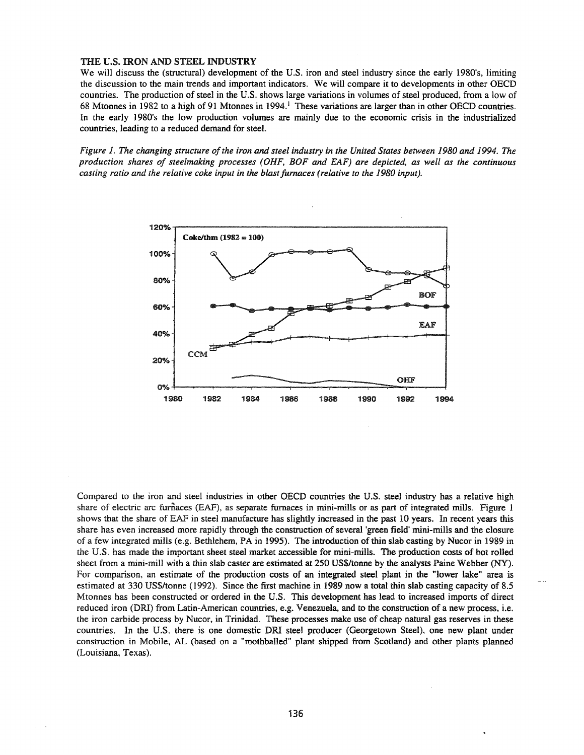#### THE U.S. IRON AND STEEL INDUSTRY

We will discuss the (structural) development of the U.S. iron and steel industry since the early 1980's, limiting the discussion to the main trends and important indicators. We will compare it to developments in other GECD countries. The production of steel in the U.S. shows large variations in volumes of steel produced, from a low of 68 Mtonnes in 1982 to a high of 91 Mtonnes in 1994.<sup>1</sup> These variations are larger than in other OECD countries. In the early 1980's the low production volumes are mainly due to the economic crisis in the industrialized countries, leading to a reduced demand for steel.

Figure 1. The changing structure of the iron and steel industry in the United States between 1980 and 1994. The *production shares of steelmaking processes (OHF, BOF and EAF) are depicted, as well as the continuous casting ratio and the relative coke input in the blastfumaces (relative to the 1980 input).*



Compared to the iron and steel industries in other GECD countries the U.S. steel industry has a relative high share of electric arc furnaces (EAF), as separate furnaces in mini-mills or as part of integrated mills. Figure 1 shows that the share of EAF in steel manufacture has slightly increased in the past 10 years. In recent years this share has even increased more rapidly through the construction of several 'green field' mini-mills and the closure of a few integrated mills (e.g. Bethlehem, PA in 1995). The introduction ofthin slab casting by Nucor in 1989 in the U.S. has made the important sheet steel market accessible for mini-mills. The production costs of hot rolled sheet from a mini-mill with a thin slab caster are estimated at 250 *US\$/tonne* by the analysts Paine Webber (NY). For comparison, an estimate of the production costs of an integrated steel plant in the "lower lake" area is estimated at 330 *US\$/tonne* (1992). Since the first machine in 1989 now a total thin slab casting capacity of 8.5 Mtonnes has been constructed or ordered in the U.S. This development has lead to increased imports of direct reduced iron (DR!) from Latin-American countries, e.g. Venezuela, and to the construction of a new process, i.e. the iron carbide process by Nucor, in Trinidad. These processes make use of cheap natural gas reserves in these countries. In the U.S. there is one domestic DR! steel producer (Georgetown Steel), one new plant under construction in Mobile, AL (based on a "mothballed" plant shipped from Scotland) and other plants planned (Louisiana, Texas).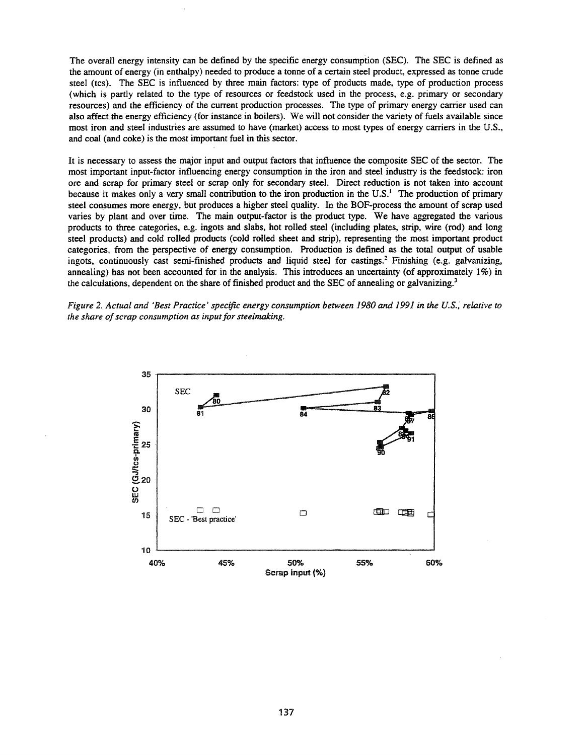The overall energy intensity can be defined by the specific energy consumption (SEC). The SEC is defined as the amount of energy (in enthalpy) needed to produce a tonne of a certain steel product, expressed as tonne crude steel (tcs). The SEC is influenced by three main factors: type of products made, type of production process (which is partly related to the type of resources or feedstock used in the process, e.g. primary or secondary resources) and the efficiency of the current production processes. The type of primary energy carrier used can also affect the energy efficiency (for instance in boilers). We will not consider the variety of fuels available since most iron and steel industries are assumed to have (market) access to most types of energy carriers in the U.S., and coal (and coke) is the most important fuel in this sector.

It is necessary to assess the major input and output factors that influence the composite SEC of the sector. The most important input-factor influencing energy consumption in the iron and steel industry is the feedstock: iron ore and scrap for primary steel or scrap only for secondary steel. Direct reduction is not taken into account because it makes only a very small contribution to the iron production in the U.S.<sup>1</sup> The production of primary steel consumes more energy, but produces a higher steel quality. In the BOF-process the amount of scrap used varies by plant and over time. The main output-factor is the product type. We have aggregated the various products to three categories, e.g. ingots and slabs, hot rolled steel (including plates, strip, wire (rod) and long steel products) and cold rolled products (cold rolled sheet and strip), representing the most important product categories, from the perspective of energy consumption. Production is defined as the total output of usable ingots, continuously cast semi-finished products and liquid steel for castings.<sup>2</sup> Finishing (e.g. galvanizing, annealing) has not been accounted for in the analysis. This introduces an uncertainty (of approximately 1%) in the calculations, dependent on the share of finished product and the SEC of annealing or galvanizing.<sup>3</sup>



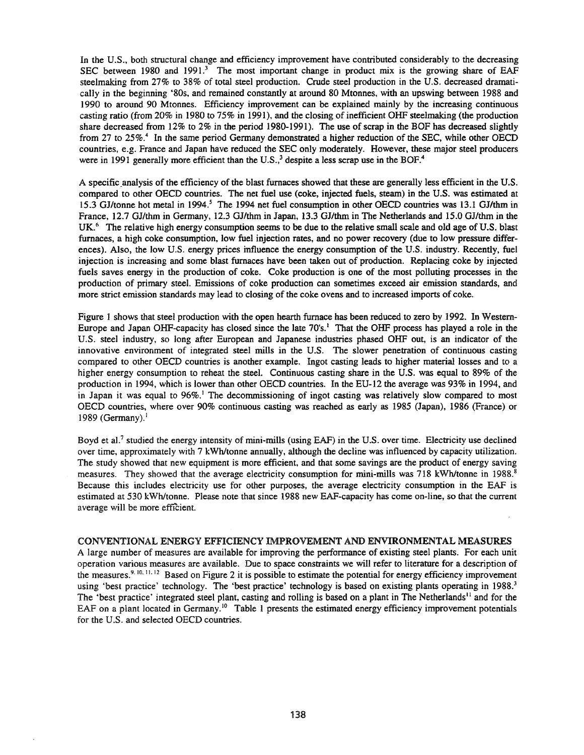In the U.S., both structural change and efficiency improvement have contributed considerably to the decreasing SEC between 1980 and 1991.<sup>3</sup> The most important change in product mix is the growing share of EAF steelmaking from 27% to 38% of total steel production. Crude steel production in the U.S. decreased dramatically in the beginning '80s, and remained constantly at around 80 Mtonnes, with an upswing between 1988 and 1990 to around 90 Mtonnes. Efficiency improvement can be explained mainly by the increasing continuous casting ratio (from 20% in 1980 to 75% in 1991), and the closing of inefficient OHF steelmaking (the production share decreased from 12% to 2% in the period 1980-1991). The use of scrap in the BOF has decreased slightly from 27 to 25%.<sup>4</sup> In the same period Germany demonstrated a higher reduction of the SEC, while other OECD countries, e.g. France and Japan have reduced the SEC only moderately. However, these major steel producers were in 1991 generally more efficient than the U.S., $3$  despite a less scrap use in the BOF.<sup>4</sup>

A specific.analysis of the efficiency of the blast furnaces showed that these are generally less efficient in the U.S. compared to other OECD countries. The net fuel use (coke, injected fuels, steam) in the U.S. was estimated at 15.3 GJ/tonne hot metal in 1994.<sup>5</sup> The 1994 net fuel consumption in other OECD countries was 13.1 GJ/thm in France, 12.7 GJ/thm in Germany, 12.3 GJ/thm in Japan, 13.3 GJ/thm in The Netherlands and 15.0 GJ/thm in the UK.<sup>6</sup> The relative high energy consumption seems to be due to the relative small scale and old age of U.S. blast furnaces, a high coke consumption, low fuel injection rates, and no power recovery (due to low pressure differences). Also, the low U.S. energy prices influence the energy consumption of the U.S. industry. Recently, fuel injection is increasing and some blast furnaces have been taken out of production. Replacing coke by injected fuels saves energy in the production of coke. Coke production is one of the most polluting processes in the production of primary steel. Emissions of coke production can sometimes exceed air emission standards, and more strict emission standards may lead to closing of the coke ovens and to increased imports of coke.

Figure 1 shows that steel production with the open hearth furnace has been reduced to zero by 1992. In Western-Europe and Japan OHF-capacity has closed since the late 70's.<sup>1</sup> That the OHF process has played a role in the U.S. steel industry, so long after European and Japanese industries phased OHF out, is an indicator of the innovative environment of integrated steel mills in the U.S. The slower penetration of continuous casting compared to other OECD countries is another example. Ingot casting leads to higher material losses and to a higher energy consumption to reheat the steel. Continuous casting share in the U.S. was equal to 89% of the production in 1994, which is lower than other OECD countries. In the EU-12 the average was 93% in 1994, and in Japan it was equal to  $96\%$ .<sup>1</sup> The decommissioning of ingot casting was relatively slow compared to most OECD countries, where over 90% continuous casting was reached as early as 1985 (Japan), 1986 (France) or 1989 (Germany). $<sup>1</sup>$ </sup>

Boyd et al.<sup>7</sup> studied the energy intensity of mini-mills (using EAF) in the U.S. over time. Electricity use declined over time, approximately with 7 kWh/tonne annually, although the decline was influenced by capacity utilization. The study showed that new equipment is more efficient, and that some savings are the product of energy saving measures. They showed that the average electricity consumption for mini-mills was 718 kWh/tonne in 1988.<sup>8</sup> Because this includes electricity use for other purposes, the average electricity consumption in the EAF is estimated at 530 kWh/tonne. Please note that since 1988 new EAF-capacity has come on-line, so that the current average will be more efficient.

### CONVENTIONAL ENERGY EFFICIENCY IMPROVEMENT AND ENVIRONMENTAL MEASURES

A large number of measures are available for improving the performance of existing steel plants. For each unit operation various measures are available. Due to space constraints we will refer to literature for a description of the measures.<sup>9. 10, 11, 12</sup> Based on Figure 2 it is possible to estimate the potential for energy efficiency improvement using 'best practice' technology. The 'best practice' technology is based on existing plants operating in 1988.<sup>3</sup> The 'best practice' integrated steel plant, casting and rolling is based on a plant in The Netherlands<sup>11</sup> and for the EAF on a plant located in Germany.<sup>10</sup> Table 1 presents the estimated energy efficiency improvement potentials for the U.S. and selected OECD countries.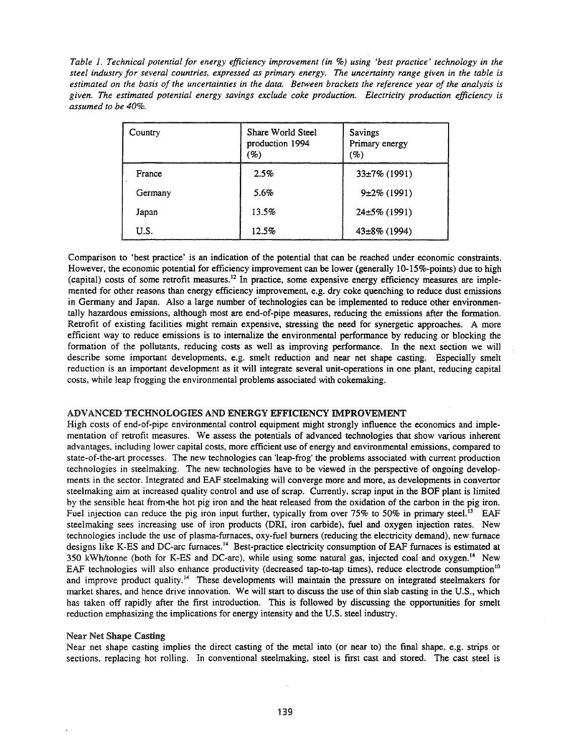*Table I. Technical potential for energy efficiency improvement (in* %) *using 'best practice' technology in the steel industry for several countries. expressed as primary energy. The uncenainty range given in the table* is estimated on the basis of the uncertainties in the data. Between brackets the reference year of the analysis is *given. The estimated potential energy savings exclude coke production. Electricity production efficiency is assumed to be 40%.*

| Country | Share World Steel<br>production 1994<br>(%) | Savings<br>Primary energy<br>(%) |
|---------|---------------------------------------------|----------------------------------|
| France  | 2.5%                                        | $33\pm7\%$ (1991)                |
| Germany | 5.6%                                        | $9\pm2\%$ (1991)                 |
| Japan   | 13.5%                                       | $24\pm5\%$ (1991)                |
| U.S.    | 12.5%                                       | $43\pm8\%$ (1994)                |

Comparison to 'best practice' is an indication of the potential that can be reached under economic constraints. However, the economic potential for efficiency improvement can be lower (generally 10-15%-points) due to high (capital) costs of some retrofit measures. <sup>12</sup> In practice, some expensive energy efficiency measures are implemented for other reasons than energy efficiency improvement, e.g. dry coke quenching to reduce dust emissions in Germany and Japan. Also a large number of technologies can be implemented to reduce other environmentally hazardous emissions, although most are end-of-pipe measures, reducing the emissions after the formation. Retrofit of existing facilities might remain expensive, stressing the need for synergetic approaches. A more efficient way to reduce emissions is to internalize the environmental performance by reducing or blocking the formation of the pollutants, reducing costs as well as improving performance. In the next section we will describe some important developments, e.g. smelt reduction and near net shape casting. Especially smelt reduction is an important development as it will integrate several unit-operations in one plant, reducing capital costs, while leap frogging the environmental problems associated with cokemaking.

## ADVANCED TECHNOLOGIES AND ENERGY EFFICIENCY IMPROVEMENT

High costs of end-of-pipe environmental control equipment might strongly influence the economics and implementation of retrofit measures. We assess the potentials of advanced technologies that show various inherent advantages, including lower capital costs, more efficient use of energy and environmental emissions, compared to state-of-the-art processes. The new technologies can 'leap-frog' the problems associated with current production technologies in steelmaking. The new technologies have to be viewed in the perspective of ongoing developments in the sector. Integrated and EAF steelmaking will converge more and more, as developments in convertor steelmaking aim at increased quality control and use of scrap. Currently, scrap input in the BOF plant is limited by the sensible heat from-the hot pig iron and the heat released from the oxidation of the carbon in the pig iron. Fuel injection can reduce the pig iron input further, typically from over 75% to 50% in primary steel.<sup>13</sup> EAF steelmaking sees increasing use of iron products (DR!, iron carbide), fuel and oxygen injection rates. New technologies include the use of plasma-furnaces, oxy-fuel burners (reducing the electricity demand), new furnace designs like K-ES and DC-arc furnaces.<sup>14</sup> Best-practice electricity consumption of EAF furnaces is estimated at 350 kWh/tonne (both for K-ES and DC-arc), while using some natural gas, injected coal and oxygen. <sup>14</sup> New EAF technologies will also enhance productivity (decreased tap-to-tap times), reduce electrode consumption<sup>10</sup> and improve product quality.<sup>14</sup> These developments will maintain the pressure on integrated steelmakers for market shares, and hence drive innovation. We will start to discuss the use of thin slab casting in the U.S., which has taken off rapidly after the first introduction. This is followed by discussing the opportunities for smelt reduction emphasizing the implications for energy intensity and the U.S. steel industry.

### Near Net Shape Casting

Near net shape casting implies the direct casting of the metal into (or near to) the final shape, e.g. strips or sections, replacing hot rolling. In conventional steelmaking, steel is first cast and stored. The cast steel is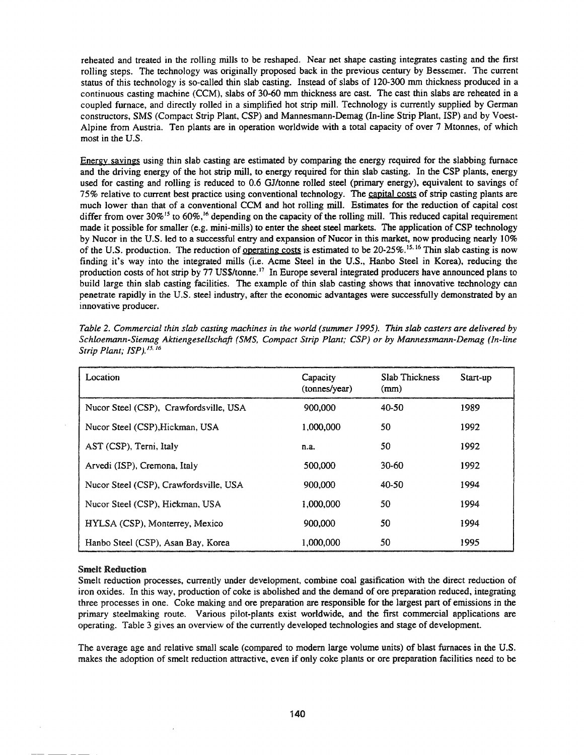reheated and treated in the rolling miIIs to be reshaped. Near net shape casting integrates casting and the first rolling steps. The technology was originally proposed back in the previous century by Bessemer. The current status of this technology is so-called thin slab casting. Instead of slabs of 120-300 mm thickness produced in a continuous casting machine (CCM), slabs of 30-60 mm thickness are cast. The cast thin slabs are reheated in a coupled furnace, and directly rolled in a simplified hot strip mill. Technology is currently supplied by German constructors, SMS (Compact Strip Plant, CSP) and Mannesmann-Demag (In-line Strip Plant, ISP) and by Voest-Alpine from Austria. Ten plants are in operation worldwide with a total capacity of over 7 Mtonnes, of which most in the U.S.

Energy savings using thin slab casting are estimated by comparing the energy required for the slabbing furnace and the driving energy of the hot strip miII, to energy required for thin slab casting. In the CSP plants. energy used for casting and rolling is reduced to 0.6 GJ/tonne rolled steel (primary energy). equivalent to savings of 75% relative to current best practice using conventional technology. The capital costs of strip casting plants are much lower than that of a conventional CCM and hot rolling mill. Estimates for the reduction of capital cost differ from over  $30\%$ <sup>15</sup> to  $60\%$ <sup>16</sup> depending on the capacity of the rolling mill. This reduced capital requirement made it possible for smaIIer (e.g. mini-mills) to enter the sheet steel markets. The application of CSP technology by Nucor in the U.S. led to a successful entry and expansion of Nucor in this market, now producing nearly 10% of the U.S. production. The reduction of <u>operating costs</u> is estimated to be 20-25%.<sup>15.16</sup> Thin slab casting is now finding it's way into the integrated mills (i.e. Acme Steel in the U.S., Hanbo Steel in Korea), reducing the production costs of hot strip by 77 US\$/tonne.<sup>17</sup> In Europe several integrated producers have announced plans to build large thin slab casting facilities. The example of thin slab casting shows that innovative technology can penetrate rapidly in the U.S. steel industry, after the economic advantages were successfully demonstrated by an innovative producer.

| Location                               | Capacity<br>(tonnes/year) | <b>Slab Thickness</b><br>(mm) | Start-up |
|----------------------------------------|---------------------------|-------------------------------|----------|
| Nucor Steel (CSP), Crawfordsville, USA | 900.000                   | 40-50                         | 1989     |
| Nucor Steel (CSP), Hickman, USA        | 1,000,000                 | 50                            | 1992     |
| AST (CSP), Terni, Italy                | n.a.                      | 50                            | 1992     |
| Arvedi (ISP), Cremona, Italy           | 500,000                   | $30 - 60$                     | 1992     |
| Nucor Steel (CSP), Crawfordsville, USA | 900.000                   | 40-50                         | 1994     |
| Nucor Steel (CSP), Hickman, USA        | 1,000,000                 | 50                            | 1994     |
| HYLSA (CSP), Monterrey, Mexico         | 900,000                   | 50                            | 1994     |
| Hanbo Steel (CSP), Asan Bay, Korea     | 1,000,000                 | 50                            | 1995     |

*Table* 2. *Commercial thin slab casting machines in the world (summer* 1995). *Thin slab casters are delivered by Schloemann-Siemag Aktiengesellschaft (SMS, Compact Strip Plant; CSP) or by Mannessmann-Demag (In-line Strip Plant; ISP*)./5. /6

#### Smelt Reduction

Smelt reduction processes, currently under development. combine coal gasification with the direct reduction of iron oxides. In this way, production of coke is abolished and the demand of ore preparation reduced, integrating three processes in one. Coke making and ore preparation are responsible for the largest part of emissions in the primary steelmaking route. Various pilot-plants exist worldwide, and the first commercial applications are operating. Table 3 gives an overview of the currently developed technologies and stage of development.

The average age and relative small scale (compared to modern large volume units) of blast furnaces in the U.S. makes the adoption of smelt reduction attractive, even if only coke plants or ore preparation facilities need to be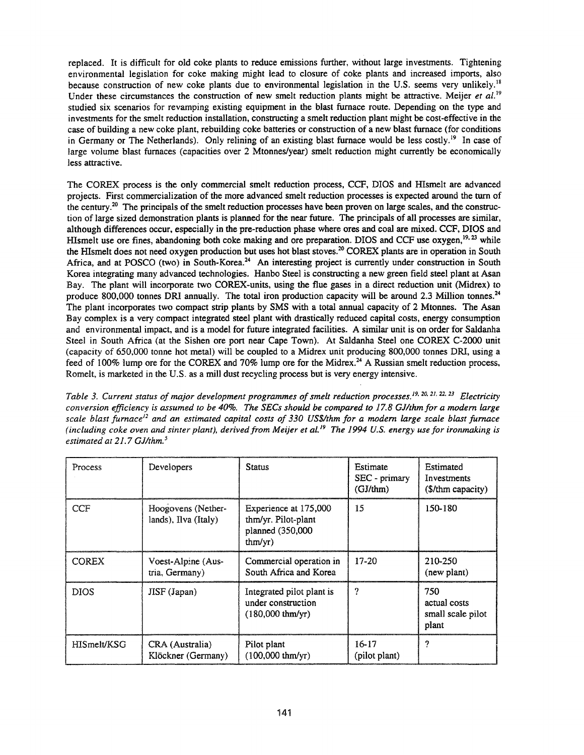replaced. It is difficult for old coke plants to reduce emissions further, without large investments. Tightening environmental legislation for coke making might lead to closure of coke plants and increased imports, also because construction of new coke plants due to environmental legislation in the U.S. seems very unlikely.<sup>18</sup> Under these circumstances the construction of new smelt reduction plants might be attractive. Meijer *et al.* <sup>19</sup> studied six scenarios for revamping existing equipment in the blast furnace route. Depending on the type and investments for the smelt reduction installation, constructing a smelt reduction plant might be cost-effective in the case of building a new coke plant, rebuilding coke batteries or construction of a new blast furnace (for conditions in Germany or The Netherlands). Only relining of an existing blast furnace would be less costly.<sup>19</sup> In case of large volume blast furnaces (capacities over 2 Mtonnes/year) smelt reduction might currently be economically less attractive.

The COREX process is the only commercial smelt reduction process, CCF, DIOS and Hlsmelt are advanced projects. First commercialization of the more advanced smelt reduction processes is expected around the turn of the century.20 The principals of the smelt reduction processes have been proven on large scales, and the construction of large sized demonstration plants is planned for the near future. The principals of all processes are similar, although differences occur, especially in the pre-reduction phase where ores and coal are mixed. CCF, DIOS and HIsmelt use ore fines, abandoning both coke making and ore preparation. DIOS and CCF use oxygen,<sup>19, 23</sup> while the HIsmelt does not need oxygen production but uses hot blast stoves.<sup>20</sup> COREX plants are in operation in South Africa, and at POSCO (two) in South-Korea.<sup>24</sup> An interesting project is currently under construction in South Korea integrating many advanced technologies. Hanbo Steel is constructing a new green field steel plant at Asan Bay. The plant will incorporate two COREX-units, using the flue gases in a direct reduction unit (Midrex) to produce 800,000 tonnes DRI annually. The total iron production capacity will be around 2.3 Million tonnes.<sup>24</sup> The plant incorporates two compact strip plants by SMS with a total annual capacity of 2 Mtonnes. The Asan Bay complex is a very compact integrated steel plant with drastically reduced capital costs, energy consumption and environmental impact, and is a model for future integrated facilities. A similar unit is on order for Saldanha Steel in South Africa (at the Sishen ore port near Cape Town). At Saldanha Steel one COREX C-2OOO unit (capacity of 650,000 tonne hot metal) will be coupled to a Midrex unit producing 800,000 tonnes DR!, using a feed of 100% lump ore for the COREX and 70% lump ore for the Midrex.<sup>24</sup> A Russian smelt reduction process, Romelt, is marketed in the U.S. as a mill dust recycling process but is very energy intensive.

*Table* 3. *Current status of major development programmes ofsmelt reduction processes. /9.20.2/.22.23 Electricity conversion efficiency* is *assumed to be 40%. The SECs should be compared to* 17.8 *GJ/thmfor a modem large* scale blast furnace<sup>12</sup> and an estimated capital costs of 330 US\$/thm for a modern large scale blast furnace (including coke oven and sinter plant), derived from Meijer et al.<sup>19</sup> The 1994 U.S. energy use for ironmaking is *estimated at* 21.7 *GJ/thm. <sup>5</sup>*

| Process      | Developers                                 | <b>Status</b>                                                                 | Estimate<br>$SEC - primary$<br>$(GJ/\text{thm})$ | Estimated<br>Investments<br>(\$/thm capacity)     |
|--------------|--------------------------------------------|-------------------------------------------------------------------------------|--------------------------------------------------|---------------------------------------------------|
| <b>CCF</b>   | Hoogovens (Nether-<br>lands), Ilva (Italy) | Experience at 175,000<br>thm/yr. Pilot-plant<br>planned (350,000<br>thm(yr)   | 15                                               | 150-180                                           |
| <b>COREX</b> | Voest-Alpine (Aus-<br>tria, Germany)       | Commercial operation in<br>South Africa and Korea                             | $17-20$                                          | 210-250<br>(new plant)                            |
| <b>DIOS</b>  | JISF (Japan)                               | Integrated pilot plant is<br>under construction<br>$(180,000 \text{ thm/yr})$ | ?                                                | 750<br>actual costs<br>small scale pilot<br>plant |
| HISmelt/KSG  | CRA (Australia)<br>Klöckner (Germany)      | Pilot plant<br>$(100,000 \text{ thm/yr})$                                     | $16-17$<br>(pilot plant)                         | 2                                                 |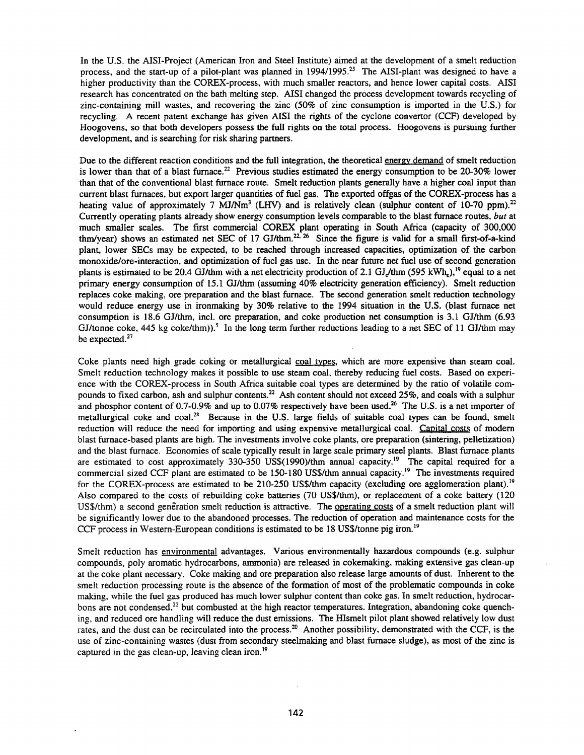In the U.S. the AISI-Project (American Iron and Steel Institute) aimed at the development of a smelt reduction process, and the start-up of a pilot-plant was planned in  $1994/1995$ <sup>25</sup> The AISI-plant was designed to have a higher productivity than the COREX-process, with much smaller reactors, and hence lower capital costs. AISI research has concentrated on the bath melting step. AISI changed the process development towards recycling of zinc-containing mill wastes, and recovering the zinc (50% of zinc consumption is imported in the U.S.) for recycling. A recent patent exchange has given AISI the rights of the cyclone convertor (CCF) developed by Hoogovens, so that both developers possess the full rights on the total process. Hoogovens is pursuing further development, and is searching for risk sharing partners.

Due to the different reaction conditions and the full integration, the theoretical energy demand of smelt reduction is lower than that of a blast furnace.<sup>22</sup> Previous studies estimated the energy consumption to be 20-30% lower than that of the conventional blast furnace route. Smelt reduction plants generally have a higher coal input than current blast furnaces, but export larger quantities of fuel gas. The exported offgas of the COREX-process has a heating value of approximately 7 MJ/Nm<sup>3</sup> (LHV) and is relatively clean (sulphur content of 10-70 ppm).<sup>22</sup> Currently operating plants already show energy consumption levels comparable to the blast furnace routes, *but* at much smaller scales. The first commercial COREX plant operating in South Africa (capacity of 300,000 thm/year) shows an estimated net SEC of 17 GJ/thm.<sup>22, 26</sup> Since the figure is valid for a small first-of-a-kind plant, lower SECs may be expected, to be reached through increased capacities, optimization of the carbon monoxide/ore-interaction, and optimization of fuel gas use. In the near future net fuel use of second generation plants is estimated to be 20.4 GJ/thm with a net electricity production of 2.1 GJ/thm (595 kWh,),<sup>19</sup> equal to a net primary energy consumption of 15.1 GJ/thm (assuming 40% electricity generation efficiency). Smelt reduction replaces coke making, ore preparation and the blast furnace. The second generation smelt reduction technology would reduce energy use in ironmaking by 30% relative to the 1994 situation in the U.S. (blast furnace net consumption is 18.6 GJ/thm, incl. ore preparation, and coke production net consumption is 3.1 GJ/thm (6.93 GJ/tonne coke, 445 kg coke/thm)).<sup>5</sup> In the long term further reductions leading to a net SEC of 11 GJ/thm may be expected. $27$ 

Coke plants need high grade coking or metallurgical coal types, which are more expensive than steam coal. Smelt reduction technology makes it possible to use steam coal, thereby reducing fuel costs. Based on experience with the COREX-process in South Africa suitable coal types are determined by the ratio of volatile compounds to fixed carbon, ash and sulphur contents.<sup>22</sup> Ash content should not exceed 25%, and coals with a sulphur and phosphor content of 0.7-0.9% and up to 0.07% respectively have been used.<sup>26</sup> The U.S. is a net importer of metallurgical coke and coal.<sup>28</sup> Because in the U.S. large fields of suitable coal types can be found, smelt reduction will reduce the need for importing and using expensive metallurgical coal. Capital costs of modern blast furnace-based plants are high. The investments involve coke plants, ore preparation (sintering, pelletization) and the blast furnace. Economies of scale typically result in large scale primary steel plants. Blast furnace plants are estimated to cost approximately 330-350 US\$(1990)/thm annual capacity.<sup>19</sup> The capital required for a commercial sized CCF plant are estimated to be 150-180 US\$/thm annual capacity.<sup>19</sup> The investments required for the COREX-process are estimated to be 210-250 US\$/thm capacity (excluding ore agglomeration plant).<sup>19</sup> Also compared to the costs of rebuilding coke batteries (70 US\$/thm), or replacement of a coke battery (120 US\$/thm) a second generation smelt reduction is attractive. The operating costs of a smelt reduction plant will be significantly lower due to the abandoned processes. The reduction of operation and maintenance costs for the CCF process in Western-European conditions is estimated to be 18 US\$/tonne pig iron.<sup>19</sup>

Smelt reduction has environmental advantages. Various environmentally hazardous compounds (e.g. sulphur compounds, poly aromatic hydrocarbons, ammonia) are released in cokemaking, making extensive gas clean-up at the coke plant necessary. Coke making and ore preparation also release large amounts of dust. Inherent to the smelt reduction processing route is the absence of the formation of most of the problematic compounds in coke making, while the fuel gas produced has much lower sulphur content than coke gas. In smelt reduction, hydrocarbons are not condensed,<sup>22</sup> but combusted at the high reactor temperatures. Integration, abandoning coke quenching, and reduced ore handling will reduce the dust emissions. The HIsmelt pilot plant showed relatively low dust rates, and the dust can be recirculated into the process.<sup>20</sup> Another possibility, demonstrated with the CCF, is the use of zinc-containing wastes (dust from secondary steelmaking and blast furnace sludge), as most of the zinc is captured in the gas clean-up, leaving clean iron.<sup>19</sup>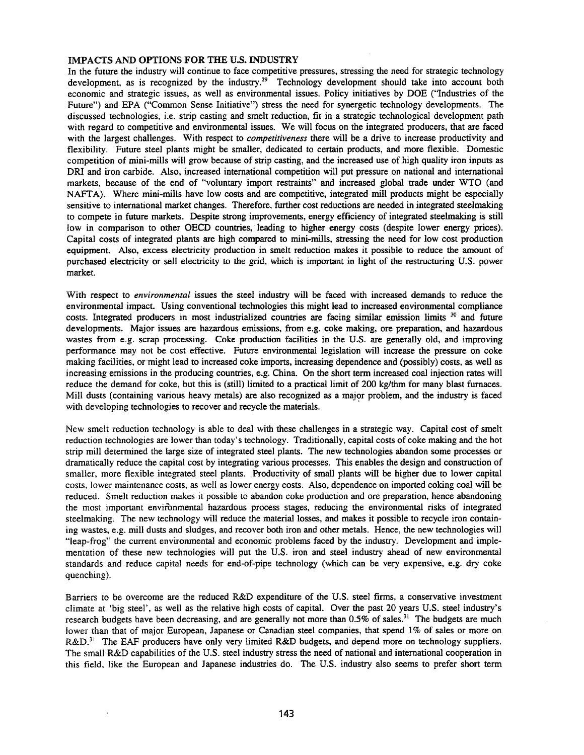### IMPACTS AND OPTIONS FOR THE U.S. INDUSTRY

In the future the industry will continue to face competitive pressures, stressing the need for strategic technology development, as is recognized by the industry.<sup>29</sup> Technology development should take into account both economic and strategic issues, as well as environmental issues. Policy initiatives by DOE ("Industries of the Future") and EPA ("Common Sense Initiative") stress the need for synergetic technology developments. The discussed technologies, i.e. strip casting and smelt reduction, fit in a strategic technological development path with regard to competitive and environmental issues. We will focus on the integrated producers, that are faced with the largest challenges. With respect to *competitiveness* there will be a drive to increase productivity and flexibility. Future steel plants might be smaller, dedicated to certain products, and more flexible. Domestic competition of mini-mills will grow because of strip casting, and the increased use of high quality iron inputs as DRI and iron carbide. Also, increased international competition will put pressure on national and international markets, because of the end of "voluntary import restraints" and increased global trade under WTO (and NAFTA). Where mini-mills have low costs and are competitive, integrated mill products might be especially sensitive to international market changes. Therefore, further cost reductions are needed in integrated steelmaking to compete in future markets. Despite strong improvements, energy efficiency of integrated steelmaking is still low in comparison to other OECD countries, leading to higher energy costs (despite lower energy prices). Capital costs of integrated plants are high compared to mini-mills, stressing the need for low cost production equipment. Also, excess electricity production in smelt reduction makes it possible to reduce the amount of purchased electricity or sell electricity to the grid, which is important in light of the restructuring U.S. power market.

With respect to *environmental* issues the steel industry will be faced with increased demands to reduce the environmental impact. Using conventional technologies this might lead to increased environmental compliance costs. Integrated producers in most industrialized countries are facing similar emission limits <sup>30</sup> and future developments. Major issues are hazardous emissions, from e.g. coke making, ore preparation, and hazardous wastes from e.g. scrap processing. Coke production facilities in the U.S. are generally old, and improving performance may not be cost effective. Future environmental legislation will increase the pressure on coke making facilities, or might lead to increased coke imports, increasing dependence and (possibly) costs, as well as increasing emissions in the producing countries, e.g. China. On the short term increased coal injection rates will reduce the demand for coke, but this is (still) limited to a practical limit of 200 kg/thm for many blast furnaces. Mill dusts (containing various heavy metals) are also recognized as a major problem, and the industry is faced with developing technologies to recover and recycle the materials.

New smelt reduction technology is able to deal with these challenges in a strategic way. Capital cost of smelt reduction technologies are lower than today's technology. Traditionally, capital costs of coke making and the hot strip mill determined the large size of integrated steel plants. The new technologies abandon some processes or dramatically reduce the capital cost by integrating various processes. This enables the design and construction of smaller, more flexible integrated steel plants. Productivity of small plants will be higher due to lower capital costs, lower maintenance costs, as well as lower energy costs. Also, dependence on imported coking coal will be reduced. Smelt reduction makes it possible to abandon coke production and ore preparation, hence abandoning the most important environmental hazardous process stages, reducing the environmental risks of integrated steelmaking. The new technology will reduce the material losses, and makes it possible to recycle iron containing wastes, e.g. mill dusts and sludges, and recover both iron and other metals. Hence, the new technologies will "leap-frog" the current environmental and economic problems faced by the industry. Development and implementation of these new technologies will put the U.S. iron and steel industry ahead of new environmental standards and reduce capital needs for end-of-pipe technology (which can be very expensive, e.g. dry coke quenching).

Barriers to be overcome are the reduced R&D expenditure of the U.S. steel firms, a conservative investment climate at 'big steel', as well as the relative high costs of capital. Over the past 20 years U.S. steel industry's research budgets have been decreasing, and are generally not more than  $0.5\%$  of sales.<sup>31</sup> The budgets are much lower than that of major European, Japanese or Canadian steel companies, that spend 1% of sales or more on R&D.<sup>31</sup> The EAF producers have only very limited R&D budgets, and depend more on technology suppliers. The small R&D capabilities of the U.S. steel industry stress the need of national and international cooperation in this field, like the European and Japanese industries do. The U.S. industry also seems to prefer short term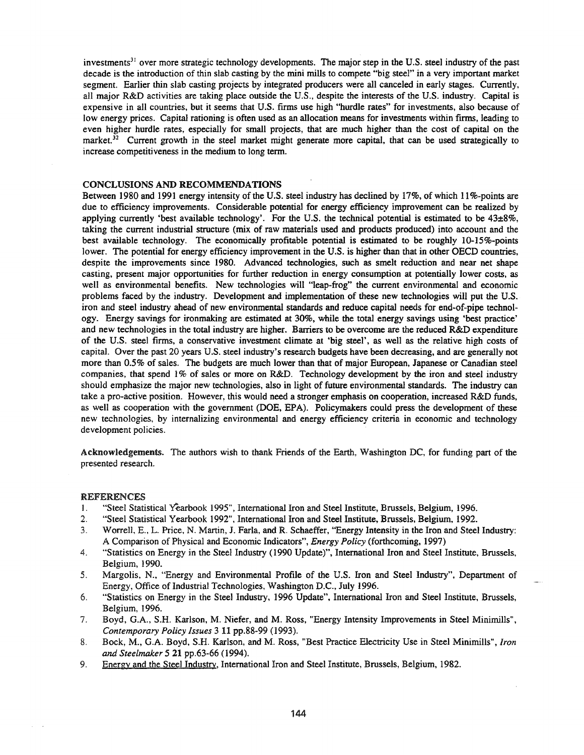investments<sup>31</sup> over more strategic technology developments. The major step in the U.S. steel industry of the past decade is the introduction of thin slab casting by the mini mills to compete "big steel" in a very important market segment. Earlier thin slab casting projects by integrated producers were all canceled in early stages. Currently, all major R&D activities are taking place outside the U.S., despite the interests of the U.S. industry. Capital is expensive in all countries, but it seems that U.S. firms use high "hurdle rates" for investments, also because of low energy prices. Capital rationing is often used as an allocation means for investments within firms, leading to even higher hurdle rates, especially for small projects, that are much higher than the cost of capital on the market.<sup>32</sup> Current growth in the steel market might generate more capital, that can be used strategically to increase competitiveness in the medium to long term.

# CONCLUSIONS AND RECOMMENDATIONS

Between 1980 and 1991 energy intensity of the U.S. steel industry has declined by 17%, of which II %-points are due to efficiency improvements. Considerable potential for energy efficiency improvement can be realized by applying currently 'best available technology'. For the U.S. the technical potential is estimated to be 43±8%, taking the current industrial structure (mix of raw materials used and products produced) into account and the best available technology. The economically profitable potential is estimated to be roughly 10-15%-points lower. The potential for energy efficiency improvement in the U.S. is higher than that in other OECD countries, despite the improvements since 1980. Advanced technologies, such as smelt reduction and near net shape casting, present major opportunities for further reduction in energy consumption at potentially lower costs, as well as environmental benefits. New technologies will "leap-frog" the current environmental and economic problems faced by the industry. Development and implementation of these new technologies will put the U.S. iron and steel industry ahead of new environmental standards and reduce capital needs for end-of-pipe technology. Energy savings for ironmaking are estimated at 30%, while the total energy savings using 'best practice' and new technologies in the total industry are higher. Barriers to be overcome are the reduced R&D expenditure of the U.S. steel firms, a conservative investment climate at 'big steel', as well as the relative high costs of capital. Over the past 20 years U.S. steel industry's research budgets have been decreasing, and are generally not more than 0.5% of sales. The budgets are much lower than that of major European, Japanese or Canadian steel companies, that spend I% of sales or more on R&D. Technology development by the iron and steel industry should emphasize the major new technologies, also in light of future environmental standards. The industry can take a pro-active position. However, this would need a stronger emphasis on cooperation, increased R&D funds, as well as cooperation with the government (DOE, EPA). Policymakers could press the development of these new technologies, by internalizing environmental and energy efficiency criteria in economic and technology development policies.

Acknowledgements. The authors wish to thank Friends of the Earth, Washington DC, for funding part of the presented research.

#### REFERENCES

- 1. "Steel Statistical Yearbook 1995", International Iron and Steel Institute, Brussels, Belgium, 1996.
- 2. "Steel Statistical Yearbook 1992", International Iron and Steel Institute, Brussels, Belgium, 1992.
- 3. Worrell, E., L. Price, N. Martin, J. FarIa, and R. Schaeffer, "Energy Intensity in the Iron and Steel Industry: A Comparison of Physical and Economic Indicators", *Energy Policy* (forthcoming, 1997)
- 4. "Statistics on Energy in the Steel Industry (1990 Update)", International Iron and Steel Institute, Brussels, Belgium, 1990.
- 5. Margolis, N., "Energy and Environmental Profile of the U.S. Iron and Steel Industry", Department of Energy, Office of Industrial Technologies, Washington D.C., July 1996.
- 6. "Statistics on Energy in the Steel Industry, 1996 Update", International Iron and Steel Institute, Brussels, Belgium, 1996.
- 7. Boyd, G.A., S.H. Karlson, M. Niefer, and M. Ross, "Energy Intensity Improvements in Steel Minimills", *Contemporary Policy Issues* 3 11 pp.88-99 (1993).
- 8. Bock, M., G.A. Boyd, S.H. Karlson, and M. Ross, "Best Practice Electricity Use in Steel Minimills", *Iron and Steelmaker* 521 pp.63-66 (1994).
- 9. Energy and the Steel Industry, International Iron and Steel Institute, Brussels, Belgium, 1982.